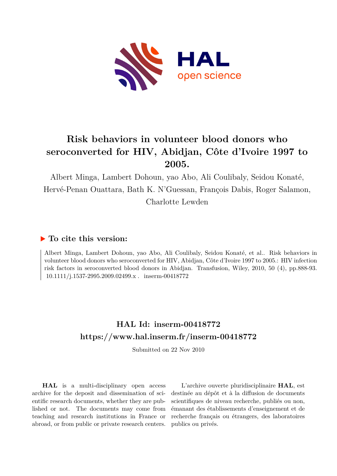

# **Risk behaviors in volunteer blood donors who seroconverted for HIV, Abidjan, Côte d'Ivoire 1997 to 2005.**

Albert Minga, Lambert Dohoun, yao Abo, Ali Coulibaly, Seidou Konaté, Hervé-Penan Ouattara, Bath K. N'Guessan, François Dabis, Roger Salamon, Charlotte Lewden

### **To cite this version:**

Albert Minga, Lambert Dohoun, yao Abo, Ali Coulibaly, Seidou Konaté, et al.. Risk behaviors in volunteer blood donors who seroconverted for HIV, Abidjan, Côte d'Ivoire 1997 to 2005.: HIV infection risk factors in seroconverted blood donors in Abidjan. Transfusion, Wiley, 2010, 50 (4), pp.888-93.  $10.1111/j.1537-2995.2009.02499.x$ . inserm-00418772

## **HAL Id: inserm-00418772 <https://www.hal.inserm.fr/inserm-00418772>**

Submitted on 22 Nov 2010

**HAL** is a multi-disciplinary open access archive for the deposit and dissemination of scientific research documents, whether they are published or not. The documents may come from teaching and research institutions in France or abroad, or from public or private research centers.

L'archive ouverte pluridisciplinaire **HAL**, est destinée au dépôt et à la diffusion de documents scientifiques de niveau recherche, publiés ou non, émanant des établissements d'enseignement et de recherche français ou étrangers, des laboratoires publics ou privés.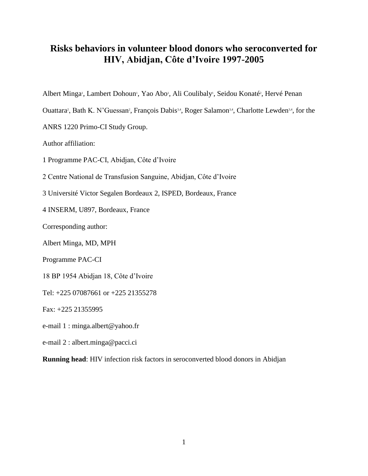### **Risks behaviors in volunteer blood donors who seroconverted for HIV, Abidjan, Côte d'Ivoire 1997-2005**

Albert Minga<sup>1</sup>, Lambert Dohoun<sup>1</sup>, Yao Abo<sup>1</sup>, Ali Coulibaly<sup>1</sup>, Seidou Konaté<sup>2</sup>, Hervé Penan

Ouattara<sup>2</sup>, Bath K. N'Guessan<sup>2</sup>, François Dabis<sup>3,4</sup>, Roger Salamon<sup>3,4</sup>, Charlotte Lewden<sup>3,4</sup>, for the

ANRS 1220 Primo-CI Study Group.

Author affiliation:

1 Programme PAC-CI, Abidjan, Côte d'Ivoire

2 Centre National de Transfusion Sanguine, Abidjan, Côte d'Ivoire

3 Université Victor Segalen Bordeaux 2, ISPED, Bordeaux, France

4 INSERM, U897, Bordeaux, France

Corresponding author:

Albert Minga, MD, MPH

Programme PAC-CI

18 BP 1954 Abidjan 18, Côte d'Ivoire

Tel: +225 07087661 or +225 21355278

Fax: +225 21355995

e-mail 1 : minga.albert@yahoo.fr

e-mail 2 : albert.minga@pacci.ci

**Running head**: HIV infection risk factors in seroconverted blood donors in Abidjan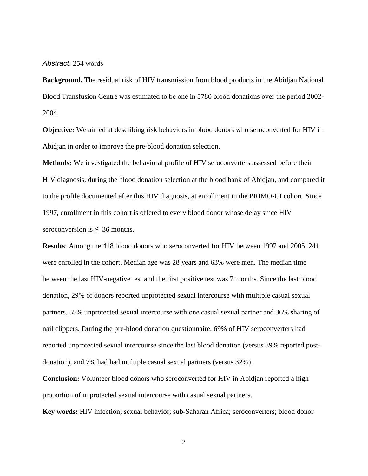*Abstract*: 254 words

**Background.** The residual risk of HIV transmission from blood products in the Abidjan National Blood Transfusion Centre was estimated to be one in 5780 blood donations over the period 2002- 2004.

**Objective:** We aimed at describing risk behaviors in blood donors who seroconverted for HIV in Abidjan in order to improve the pre-blood donation selection.

**Methods:** We investigated the behavioral profile of HIV seroconverters assessed before their HIV diagnosis, during the blood donation selection at the blood bank of Abidjan, and compared it to the profile documented after this HIV diagnosis, at enrollment in the PRIMO-CI cohort. Since 1997, enrollment in this cohort is offered to every blood donor whose delay since HIV seroconversion is  $\leq 36$  months.

**Results**: Among the 418 blood donors who seroconverted for HIV between 1997 and 2005, 241 were enrolled in the cohort. Median age was 28 years and 63% were men. The median time between the last HIV-negative test and the first positive test was 7 months. Since the last blood donation, 29% of donors reported unprotected sexual intercourse with multiple casual sexual partners, 55% unprotected sexual intercourse with one casual sexual partner and 36% sharing of nail clippers. During the pre-blood donation questionnaire, 69% of HIV seroconverters had reported unprotected sexual intercourse since the last blood donation (versus 89% reported postdonation), and 7% had had multiple casual sexual partners (versus 32%).

**Conclusion:** Volunteer blood donors who seroconverted for HIV in Abidjan reported a high proportion of unprotected sexual intercourse with casual sexual partners.

**Key words:** HIV infection; sexual behavior; sub-Saharan Africa; seroconverters; blood donor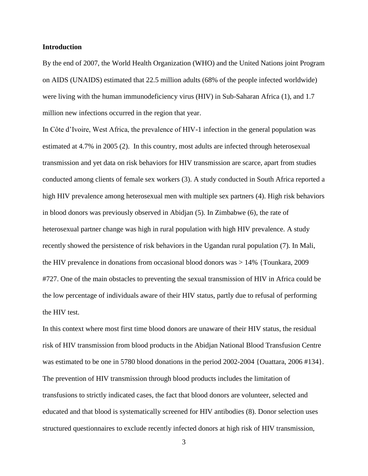#### **Introduction**

By the end of 2007, the World Health Organization (WHO) and the United Nations joint Program on AIDS (UNAIDS) estimated that 22.5 million adults (68% of the people infected worldwide) were living with the human immunodeficiency virus (HIV) in Sub-Saharan Africa (1), and 1.7 million new infections occurred in the region that year.

In Côte d'Ivoire, West Africa, the prevalence of HIV-1 infection in the general population was estimated at 4.7% in 2005 (2). In this country, most adults are infected through heterosexual transmission and yet data on risk behaviors for HIV transmission are scarce, apart from studies conducted among clients of female sex workers (3). A study conducted in South Africa reported a high HIV prevalence among heterosexual men with multiple sex partners (4). High risk behaviors in blood donors was previously observed in Abidjan (5). In Zimbabwe (6), the rate of heterosexual partner change was high in rural population with high HIV prevalence. A study recently showed the persistence of risk behaviors in the Ugandan rural population (7). In Mali, the HIV prevalence in donations from occasional blood donors was > 14% {Tounkara, 2009 #727. One of the main obstacles to preventing the sexual transmission of HIV in Africa could be the low percentage of individuals aware of their HIV status, partly due to refusal of performing the HIV test.

In this context where most first time blood donors are unaware of their HIV status, the residual risk of HIV transmission from blood products in the Abidjan National Blood Transfusion Centre was estimated to be one in 5780 blood donations in the period 2002-2004 {Ouattara, 2006 #134}. The prevention of HIV transmission through blood products includes the limitation of transfusions to strictly indicated cases, the fact that blood donors are volunteer, selected and educated and that blood is systematically screened for HIV antibodies (8). Donor selection uses structured questionnaires to exclude recently infected donors at high risk of HIV transmission,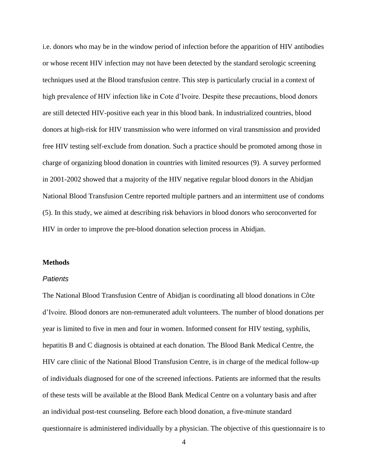i.e. donors who may be in the window period of infection before the apparition of HIV antibodies or whose recent HIV infection may not have been detected by the standard serologic screening techniques used at the Blood transfusion centre. This step is particularly crucial in a context of high prevalence of HIV infection like in Cote d'Ivoire. Despite these precautions, blood donors are still detected HIV-positive each year in this blood bank. In industrialized countries, blood donors at high-risk for HIV transmission who were informed on viral transmission and provided free HIV testing self-exclude from donation. Such a practice should be promoted among those in charge of organizing blood donation in countries with limited resources (9)*.* A survey performed in 2001-2002 showed that a majority of the HIV negative regular blood donors in the Abidjan National Blood Transfusion Centre reported multiple partners and an intermittent use of condoms (5). In this study, we aimed at describing risk behaviors in blood donors who seroconverted for HIV in order to improve the pre-blood donation selection process in Abidjan.

#### **Methods**

#### *Patients*

The National Blood Transfusion Centre of Abidjan is coordinating all blood donations in Côte d'Ivoire. Blood donors are non-remunerated adult volunteers. The number of blood donations per year is limited to five in men and four in women. Informed consent for HIV testing, syphilis, hepatitis B and C diagnosis is obtained at each donation. The Blood Bank Medical Centre, the HIV care clinic of the National Blood Transfusion Centre, is in charge of the medical follow-up of individuals diagnosed for one of the screened infections. Patients are informed that the results of these tests will be available at the Blood Bank Medical Centre on a voluntary basis and after an individual post-test counseling. Before each blood donation, a five-minute standard questionnaire is administered individually by a physician. The objective of this questionnaire is to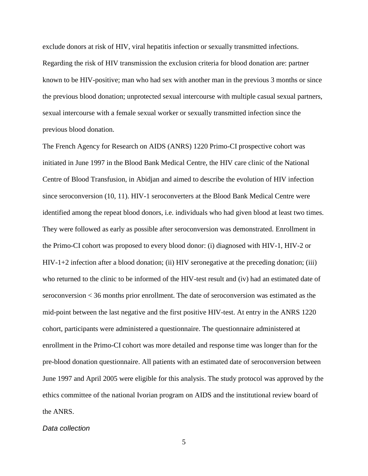exclude donors at risk of HIV, viral hepatitis infection or sexually transmitted infections. Regarding the risk of HIV transmission the exclusion criteria for blood donation are: partner known to be HIV-positive; man who had sex with another man in the previous 3 months or since the previous blood donation; unprotected sexual intercourse with multiple casual sexual partners, sexual intercourse with a female sexual worker or sexually transmitted infection since the previous blood donation.

The French Agency for Research on AIDS (ANRS) 1220 Primo-CI prospective cohort was initiated in June 1997 in the Blood Bank Medical Centre, the HIV care clinic of the National Centre of Blood Transfusion, in Abidjan and aimed to describe the evolution of HIV infection since seroconversion (10, 11). HIV-1 seroconverters at the Blood Bank Medical Centre were identified among the repeat blood donors, i.e. individuals who had given blood at least two times. They were followed as early as possible after seroconversion was demonstrated. Enrollment in the Primo-CI cohort was proposed to every blood donor: (i) diagnosed with HIV-1, HIV-2 or HIV-1+2 infection after a blood donation; (ii) HIV seronegative at the preceding donation; (iii) who returned to the clinic to be informed of the HIV-test result and (iv) had an estimated date of seroconversion < 36 months prior enrollment. The date of seroconversion was estimated as the mid-point between the last negative and the first positive HIV-test. At entry in the ANRS 1220 cohort, participants were administered a questionnaire. The questionnaire administered at enrollment in the Primo-CI cohort was more detailed and response time was longer than for the pre-blood donation questionnaire. All patients with an estimated date of seroconversion between June 1997 and April 2005 were eligible for this analysis. The study protocol was approved by the ethics committee of the national Ivorian program on AIDS and the institutional review board of the ANRS.

#### *Data collection*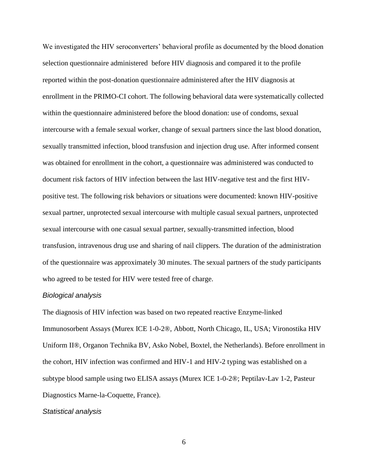We investigated the HIV seroconverters' behavioral profile as documented by the blood donation selection questionnaire administered before HIV diagnosis and compared it to the profile reported within the post-donation questionnaire administered after the HIV diagnosis at enrollment in the PRIMO-CI cohort. The following behavioral data were systematically collected within the questionnaire administered before the blood donation: use of condoms, sexual intercourse with a female sexual worker, change of sexual partners since the last blood donation, sexually transmitted infection, blood transfusion and injection drug use. After informed consent was obtained for enrollment in the cohort, a questionnaire was administered was conducted to document risk factors of HIV infection between the last HIV-negative test and the first HIVpositive test. The following risk behaviors or situations were documented: known HIV-positive sexual partner, unprotected sexual intercourse with multiple casual sexual partners, unprotected sexual intercourse with one casual sexual partner, sexually-transmitted infection, blood transfusion, intravenous drug use and sharing of nail clippers. The duration of the administration of the questionnaire was approximately 30 minutes. The sexual partners of the study participants who agreed to be tested for HIV were tested free of charge.

#### *Biological analysis*

The diagnosis of HIV infection was based on two repeated reactive Enzyme-linked Immunosorbent Assays (Murex ICE 1-0-2®, Abbott, North Chicago, IL, USA; Vironostika HIV Uniform II®, Organon Technika BV, Asko Nobel, Boxtel, the Netherlands). Before enrollment in the cohort, HIV infection was confirmed and HIV-1 and HIV-2 typing was established on a subtype blood sample using two ELISA assays (Murex ICE 1-0-2®; Peptilav-Lav 1-2, Pasteur Diagnostics Marne-la-Coquette, France).

#### *Statistical analysis*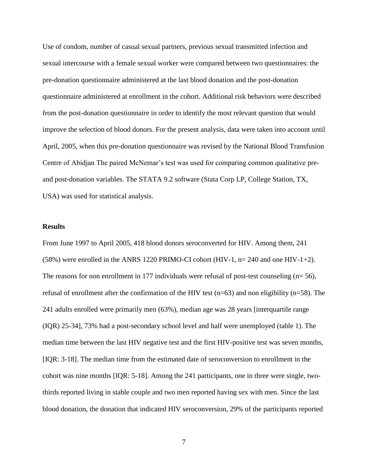Use of condom, number of casual sexual partners, previous sexual transmitted infection and sexual intercourse with a female sexual worker were compared between two questionnaires: the pre-donation questionnaire administered at the last blood donation and the post-donation questionnaire administered at enrollment in the cohort. Additional risk behaviors were described from the post-donation questionnaire in order to identify the most relevant question that would improve the selection of blood donors. For the present analysis, data were taken into account until April, 2005, when this pre-donation questionnaire was revised by the National Blood Transfusion Centre of Abidjan The paired McNemar's test was used for comparing common qualitative preand post-donation variables. The STATA 9.2 software (Stata Corp LP, College Station, TX, USA) was used for statistical analysis.

#### **Results**

From June 1997 to April 2005, 418 blood donors seroconverted for HIV. Among them, 241 (58%) were enrolled in the ANRS 1220 PRIMO-CI cohort (HIV-1, n= 240 and one HIV-1+2). The reasons for non enrollment in 177 individuals were refusal of post-test counseling (n= 56), refusal of enrollment after the confirmation of the HIV test  $(n=63)$  and non eligibility  $(n=58)$ . The 241 adults enrolled were primarily men (63%), median age was 28 years [interquartile range (IQR) 25-34], 73% had a post-secondary school level and half were unemployed (table 1). The median time between the last HIV negative test and the first HIV-positive test was seven months, [IQR: 3-18]. The median time from the estimated date of seroconversion to enrollment in the cohort was nine months [IQR: 5-18]. Among the 241 participants, one in three were single, twothirds reported living in stable couple and two men reported having sex with men. Since the last blood donation, the donation that indicated HIV seroconversion, 29% of the participants reported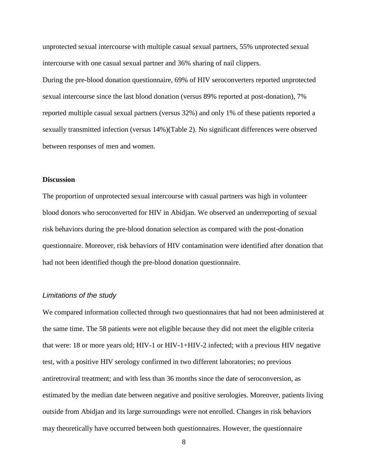unprotected sexual intercourse with multiple casual sexual partners, 55% unprotected sexual intercourse with one casual sexual partner and 36% sharing of nail clippers.

During the pre-blood donation questionnaire, 69% of HIV seroconverters reported unprotected sexual intercourse since the last blood donation (versus 89% reported at post-donation), 7% reported multiple casual sexual partners (versus 32%) and only 1% of these patients reported a sexually transmitted infection (versus 14%)(Table 2). No significant differences were observed between responses of men and women.

#### **Discussion**

The proportion of unprotected sexual intercourse with casual partners was high in volunteer blood donors who seroconverted for HIV in Abidjan. We observed an underreporting of sexual risk behaviors during the pre-blood donation selection as compared with the post-donation questionnaire. Moreover, risk behaviors of HIV contamination were identified after donation that had not been identified though the pre-blood donation questionnaire.

#### *Limitations of the study*

We compared information collected through two questionnaires that had not been administered at the same time. The 58 patients were not eligible because they did not meet the eligible criteria that were: 18 or more years old; HIV-1 or HIV-1+HIV-2 infected; with a previous HIV negative test, with a positive HIV serology confirmed in two different laboratories; no previous antiretroviral treatment; and with less than 36 months since the date of seroconversion, as estimated by the median date between negative and positive serologies. Moreover, patients living outside from Abidjan and its large surroundings were not enrolled. Changes in risk behaviors may theoretically have occurred between both questionnaires. However, the questionnaire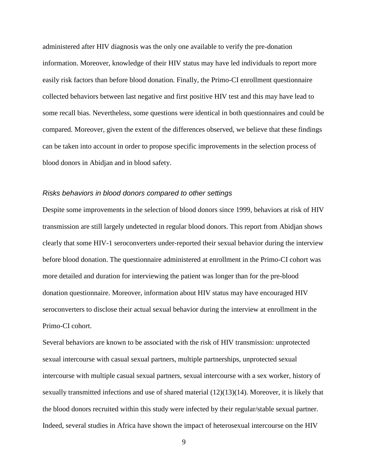administered after HIV diagnosis was the only one available to verify the pre-donation information. Moreover, knowledge of their HIV status may have led individuals to report more easily risk factors than before blood donation. Finally, the Primo-CI enrollment questionnaire collected behaviors between last negative and first positive HIV test and this may have lead to some recall bias. Nevertheless, some questions were identical in both questionnaires and could be compared. Moreover, given the extent of the differences observed, we believe that these findings can be taken into account in order to propose specific improvements in the selection process of blood donors in Abidjan and in blood safety.

#### *Risks behaviors in blood donors compared to other settings*

Despite some improvements in the selection of blood donors since 1999, behaviors at risk of HIV transmission are still largely undetected in regular blood donors. This report from Abidjan shows clearly that some HIV-1 seroconverters under-reported their sexual behavior during the interview before blood donation. The questionnaire administered at enrollment in the Primo-CI cohort was more detailed and duration for interviewing the patient was longer than for the pre-blood donation questionnaire. Moreover, information about HIV status may have encouraged HIV seroconverters to disclose their actual sexual behavior during the interview at enrollment in the Primo-CI cohort.

Several behaviors are known to be associated with the risk of HIV transmission: unprotected sexual intercourse with casual sexual partners, multiple partnerships, unprotected sexual intercourse with multiple casual sexual partners, sexual intercourse with a sex worker, history of sexually transmitted infections and use of shared material (12)(13)(14). Moreover, it is likely that the blood donors recruited within this study were infected by their regular/stable sexual partner. Indeed, several studies in Africa have shown the impact of heterosexual intercourse on the HIV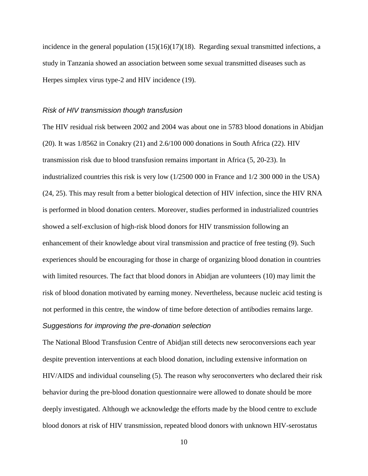incidence in the general population (15)(16)(17)(18). Regarding sexual transmitted infections, a study in Tanzania showed an association between some sexual transmitted diseases such as Herpes simplex virus type-2 and HIV incidence (19).

#### *Risk of HIV transmission though transfusion*

The HIV residual risk between 2002 and 2004 was about one in 5783 blood donations in Abidjan (20). It was 1/8562 in Conakry (21) and 2.6/100 000 donations in South Africa (22). HIV transmission risk due to blood transfusion remains important in Africa (5, 20-23). In industrialized countries this risk is very low (1/2500 000 in France and 1/2 300 000 in the USA) (24, 25). This may result from a better biological detection of HIV infection, since the HIV RNA is performed in blood donation centers. Moreover, studies performed in industrialized countries showed a self-exclusion of high-risk blood donors for HIV transmission following an enhancement of their knowledge about viral transmission and practice of free testing (9). Such experiences should be encouraging for those in charge of organizing blood donation in countries with limited resources. The fact that blood donors in Abidjan are volunteers (10) may limit the risk of blood donation motivated by earning money. Nevertheless, because nucleic acid testing is not performed in this centre, the window of time before detection of antibodies remains large.

#### *Suggestions for improving the pre-donation selection*

The National Blood Transfusion Centre of Abidjan still detects new seroconversions each year despite prevention interventions at each blood donation, including extensive information on HIV/AIDS and individual counseling (5). The reason why seroconverters who declared their risk behavior during the pre-blood donation questionnaire were allowed to donate should be more deeply investigated. Although we acknowledge the efforts made by the blood centre to exclude blood donors at risk of HIV transmission, repeated blood donors with unknown HIV-serostatus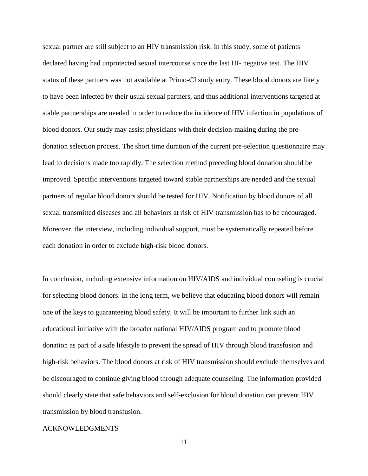sexual partner are still subject to an HIV transmission risk. In this study, some of patients declared having had unprotected sexual intercourse since the last HI- negative test. The HIV status of these partners was not available at Primo-CI study entry. These blood donors are likely to have been infected by their usual sexual partners, and thus additional interventions targeted at stable partnerships are needed in order to reduce the incidence of HIV infection in populations of blood donors. Our study may assist physicians with their decision-making during the predonation selection process. The short time duration of the current pre-selection questionnaire may lead to decisions made too rapidly. The selection method preceding blood donation should be improved. Specific interventions targeted toward stable partnerships are needed and the sexual partners of regular blood donors should be tested for HIV. Notification by blood donors of all sexual transmitted diseases and all behaviors at risk of HIV transmission has to be encouraged. Moreover, the interview, including individual support, must be systematically repeated before each donation in order to exclude high-risk blood donors.

In conclusion, including extensive information on HIV/AIDS and individual counseling is crucial for selecting blood donors. In the long term, we believe that educating blood donors will remain one of the keys to guaranteeing blood safety. It will be important to further link such an educational initiative with the broader national HIV/AIDS program and to promote blood donation as part of a safe lifestyle to prevent the spread of HIV through blood transfusion and high-risk behaviors. The blood donors at risk of HIV transmission should exclude themselves and be discouraged to continue giving blood through adequate counseling. The information provided should clearly state that safe behaviors and self-exclusion for blood donation can prevent HIV transmission by blood transfusion.

#### ACKNOWLEDGMENTS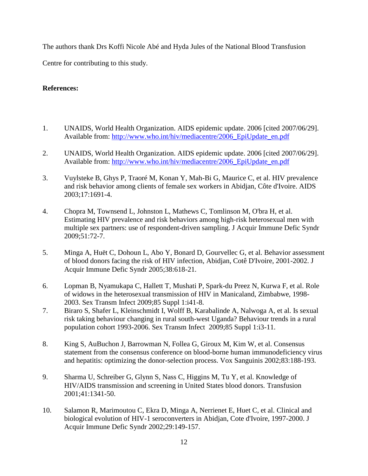The authors thank Drs Koffi Nicole Abé and Hyda Jules of the National Blood Transfusion

Centre for contributing to this study.

#### **References:**

- 1. UNAIDS, World Health Organization. AIDS epidemic update. 2006 [cited 2007/06/29]. Available from: [http://www.who.int/hiv/mediacentre/2006\\_EpiUpdate\\_en.pdf](http://www.who.int/hiv/mediacentre/2006_EpiUpdate_en.pdf)
- 2. UNAIDS, World Health Organization. AIDS epidemic update. 2006 [cited 2007/06/29]. Available from: [http://www.who.int/hiv/mediacentre/2006\\_EpiUpdate\\_en.pdf](http://www.who.int/hiv/mediacentre/2006_EpiUpdate_en.pdf)
- 3. Vuylsteke B, Ghys P, Traoré M, Konan Y, Mah-Bi G, Maurice C, et al. HIV prevalence and risk behavior among clients of female sex workers in Abidjan, Côte d'Ivoire. AIDS 2003;17:1691-4.
- 4. Chopra M, Townsend L, Johnston L, Mathews C, Tomlinson M, O'bra H, et al. Estimating HIV prevalence and risk behaviors among high-risk heterosexual men with multiple sex partners: use of respondent-driven sampling. J Acquir Immune Defic Syndr 2009;51:72-7.
- 5. Minga A, Huët C, Dohoun L, Abo Y, Bonard D, Gourvellec G, et al. Behavior assessment of blood donors facing the risk of HIV infection, Abidjan, Cotê D'Ivoire, 2001-2002. J Acquir Immune Defic Syndr 2005;38:618-21.
- 6. Lopman B, Nyamukapa C, Hallett T, Mushati P, Spark-du Preez N, Kurwa F, et al. Role of widows in the heterosexual transmission of HIV in Manicaland, Zimbabwe, 1998- 2003. Sex Transm Infect 2009;85 Suppl 1:i41-8.
- 7. Biraro S, Shafer L, Kleinschmidt I, Wolff B, Karabalinde A, Nalwoga A, et al. Is sexual risk taking behaviour changing in rural south-west Uganda? Behaviour trends in a rural population cohort 1993-2006. Sex Transm Infect 2009;85 Suppl 1:i3-11.
- 8. King S, AuBuchon J, Barrowman N, Follea G, Giroux M, Kim W, et al. Consensus statement from the consensus conference on blood-borne human immunodeficiency virus and hepatitis: optimizing the donor-selection process. Vox Sanguinis 2002;83:188-193.
- 9. Sharma U, Schreiber G, Glynn S, Nass C, Higgins M, Tu Y, et al. Knowledge of HIV/AIDS transmission and screening in United States blood donors. Transfusion 2001;41:1341-50.
- 10. Salamon R, Marimoutou C, Ekra D, Minga A, Nerrienet E, Huet C, et al. Clinical and biological evolution of HIV-1 seroconverters in Abidjan, Cote d'Ivoire, 1997-2000. J Acquir Immune Defic Syndr 2002;29:149-157.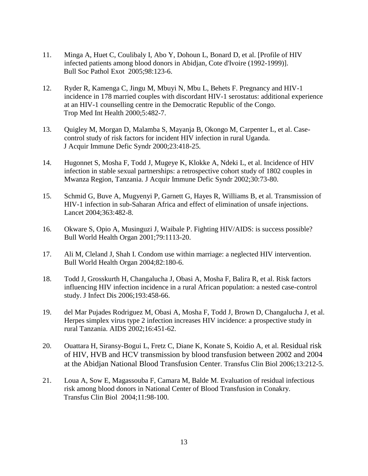- 11. Minga A, Huet C, Coulibaly I, Abo Y, Dohoun L, Bonard D, et al. [Profile of HIV infected patients among blood donors in Abidjan, Cote d'Ivoire (1992-1999)]. Bull Soc Pathol Exot 2005;98:123-6.
- 12. Ryder R, Kamenga C, Jingu M, Mbuyi N, Mbu L, Behets F. Pregnancy and HIV-1 incidence in 178 married couples with discordant HIV-1 serostatus: additional experience at an HIV-1 counselling centre in the Democratic Republic of the Congo. Trop Med Int Health 2000;5:482-7.
- 13. Quigley M, Morgan D, Malamba S, Mayanja B, Okongo M, Carpenter L, et al. Casecontrol study of risk factors for incident HIV infection in rural Uganda. J Acquir Immune Defic Syndr 2000;23:418-25.
- 14. Hugonnet S, Mosha F, Todd J, Mugeye K, Klokke A, Ndeki L, et al. Incidence of HIV infection in stable sexual partnerships: a retrospective cohort study of 1802 couples in Mwanza Region, Tanzania. J Acquir Immune Defic Syndr 2002;30:73-80.
- 15. Schmid G, Buve A, Mugyenyi P, Garnett G, Hayes R, Williams B, et al. Transmission of HIV-1 infection in sub-Saharan Africa and effect of elimination of unsafe injections. Lancet 2004;363:482-8.
- 16. Okware S, Opio A, Musinguzi J, Waibale P. Fighting HIV/AIDS: is success possible? Bull World Health Organ 2001;79:1113-20.
- 17. Ali M, Cleland J, Shah I. Condom use within marriage: a neglected HIV intervention. Bull World Health Organ 2004;82:180-6.
- 18. Todd J, Grosskurth H, Changalucha J, Obasi A, Mosha F, Balira R, et al. Risk factors influencing HIV infection incidence in a rural African population: a nested case-control study. J Infect Dis 2006;193:458-66.
- 19. del Mar Pujades Rodriguez M, Obasi A, Mosha F, Todd J, Brown D, Changalucha J, et al. Herpes simplex virus type 2 infection increases HIV incidence: a prospective study in rural Tanzania. AIDS 2002;16:451-62.
- 20. Ouattara H, Siransy-Bogui L, Fretz C, Diane K, Konate S, Koidio A, et al. Residual risk of HIV, HVB and HCV transmission by blood transfusion between 2002 and 2004 at the Abidjan National Blood Transfusion Center. Transfus Clin Biol 2006;13:212-5.
- 21. Loua A, Sow E, Magassouba F, Camara M, Balde M. Evaluation of residual infectious risk among blood donors in National Center of Blood Transfusion in Conakry. Transfus Clin Biol 2004;11:98-100.